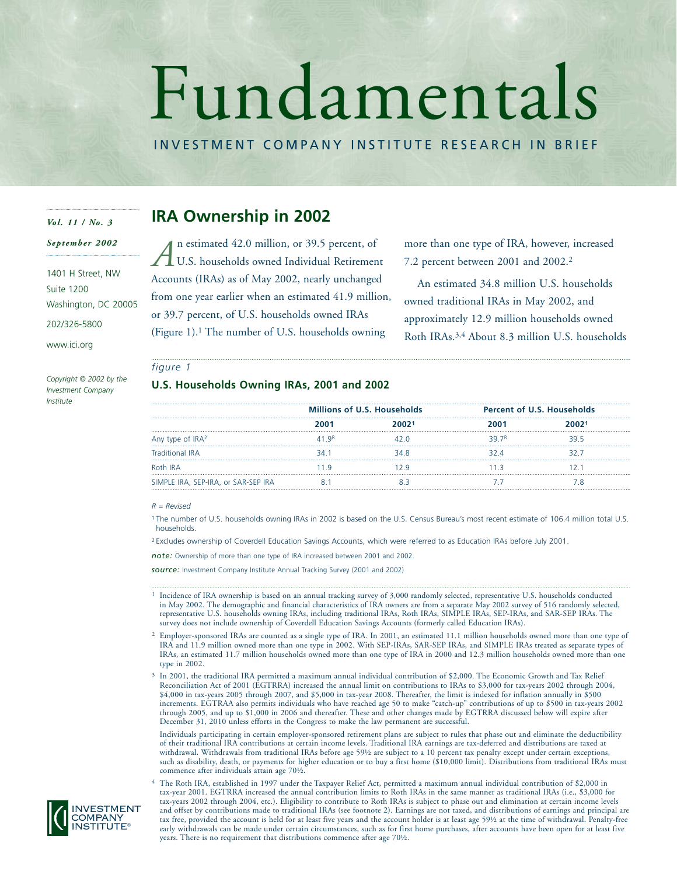# Fundamentals

INVESTMENT COMPANY INSTITUTE RESEARCH IN BRIEF

## *Vol. 11 / No. 3*

*September 2002*

1401 H Street, NW Suite 1200 Washington, DC 20005

202/326-5800

www.ici.org

*Copyright © 2002 by the Investment Company Institute*

# **IRA Ownership in 2002**

n estimated 42.0 million, or 39.5 percent, of U.S. households owned Individual Retirement Accounts (IRAs) as of May 2002, nearly unchanged from one year earlier when an estimated 41.9 million, or 39.7 percent, of U.S. households owned IRAs (Figure 1).1 The number of U.S. households owning *A*

more than one type of IRA, however, increased 7.2 percent between 2001 and 2002.2

An estimated 34.8 million U.S. households owned traditional IRAs in May 2002, and approximately 12.9 million households owned Roth IRAs.3,4 About 8.3 million U.S. households

## *figure 1*

## **U.S. Households Owning IRAs, 2001 and 2002**

|                                     | <b>Millions of U.S. Households</b> |  | <b>Percent of U.S. Households</b> |
|-------------------------------------|------------------------------------|--|-----------------------------------|
|                                     |                                    |  | 20021                             |
| Any type of IRA <sup>2</sup>        | ∾п дк ∣                            |  |                                   |
| Traditional IRA                     |                                    |  |                                   |
| Roth IRA                            |                                    |  |                                   |
| SIMPLE IRA, SEP-IRA, or SAR-SEP IRA |                                    |  |                                   |

#### *R = Revised*

<sup>1</sup> The number of U.S. households owning IRAs in 2002 is based on the U.S. Census Bureau's most recent estimate of 106.4 million total U.S. households.

<sup>2</sup> Excludes ownership of Coverdell Education Savings Accounts, which were referred to as Education IRAs before July 2001.

*note:* Ownership of more than one type of IRA increased between 2001 and 2002.

*source:* Investment Company Institute Annual Tracking Survey (2001 and 2002)

- <sup>1</sup> Incidence of IRA ownership is based on an annual tracking survey of 3,000 randomly selected, representative U.S. households conducted in May 2002. The demographic and financial characteristics of IRA owners are from a separate May 2002 survey of 516 randomly selected, representative U.S. households owning IRAs, including traditional IRAs, Roth IRAs, SIMPLE IRAs, SEP-IRAs, and SAR-SEP IRAs. The survey does not include ownership of Coverdell Education Savings Accounts (formerly called Education IRAs).
- <sup>2</sup> Employer-sponsored IRAs are counted as a single type of IRA. In 2001, an estimated 11.1 million households owned more than one type of IRA and 11.9 million owned more than one type in 2002. With SEP-IRAs, SAR-SEP IRAs, and SIMPLE IRAs treated as separate types of IRAs, an estimated 11.7 million households owned more than one type of IRA in 2000 and 12.3 million households owned more than one type in 2002.
- <sup>3</sup> In 2001, the traditional IRA permitted a maximum annual individual contribution of \$2,000. The Economic Growth and Tax Relief Reconciliation Act of 2001 (EGTRRA) increased the annual limit on contributions to IRAs to \$3,000 for tax-years 2002 through 2004, \$4,000 in tax-years 2005 through 2007, and \$5,000 in tax-year 2008. Thereafter, the limit is indexed for inflation annually in \$500 increments. EGTRAA also permits individuals who have reached age 50 to make "catch-up" contributions of up to \$500 in tax-years 2002 through 2005, and up to \$1,000 in 2006 and thereafter. These and other changes made by EGTRRA discussed below will expire after December 31, 2010 unless efforts in the Congress to make the law permanent are successful.

Individuals participating in certain employer-sponsored retirement plans are subject to rules that phase out and eliminate the deductibility of their traditional IRA contributions at certain income levels. Traditional IRA earnings are tax-deferred and distributions are taxed at withdrawal. Withdrawals from traditional IRAs before age 59½ are subject to a 10 percent tax penalty except under certain exceptions, such as disability, death, or payments for higher education or to buy a first home (\$10,000 limit). Distributions from traditional IRAs must commence after individuals attain age 70½.

<sup>4</sup> The Roth IRA, established in 1997 under the Taxpayer Relief Act, permitted a maximum annual individual contribution of \$2,000 in tax-year 2001. EGTRRA increased the annual contribution limits to Roth IRAs in the same manner as traditional IRAs (i.e., \$3,000 for tax-years 2002 through 2004, etc.). Eligibility to contribute to Roth IRAs is subject to phase out and elimination at certain income levels and offset by contributions made to traditional IRAs (see footnote 2). Earnings are not taxed, and distributions of earnings and principal are tax free, provided the account is held for at least five years and the account holder is at least age 59½ at the time of withdrawal. Penalty-free early withdrawals can be made under certain circumstances, such as for first home purchases, after accounts have been open for at least five years. There is no requirement that distributions commence after age 70½.

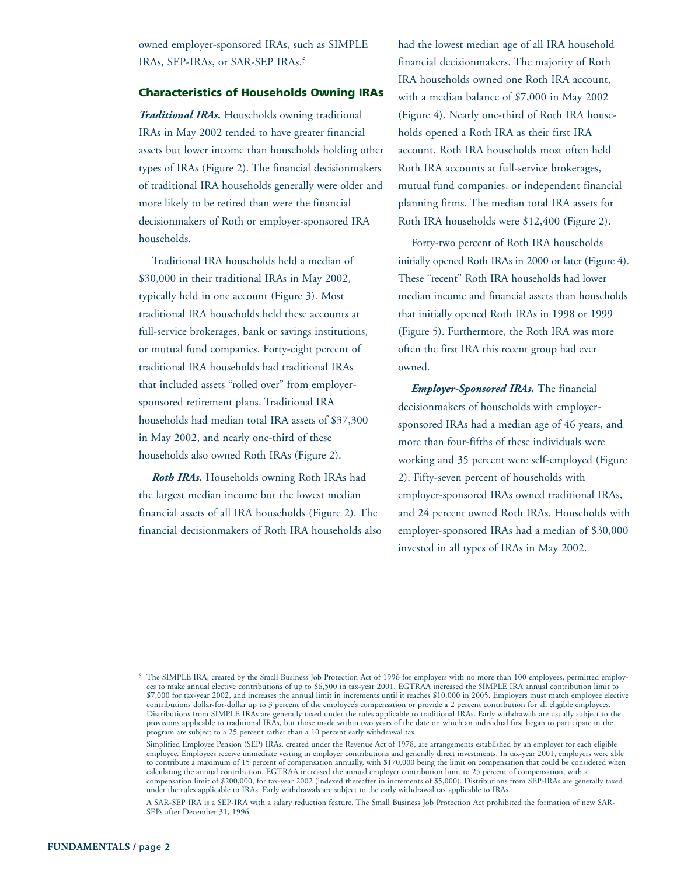owned employer-sponsored IRAs, such as SIMPLE IRAs, SEP-IRAs, or SAR-SEP IRAs.5

## **Characteristics of Households Owning IRAs**

*Traditional IRAs.* Households owning traditional IRAs in May 2002 tended to have greater financial assets but lower income than households holding other types of IRAs (Figure 2). The financial decisionmakers of traditional IRA households generally were older and more likely to be retired than were the financial decisionmakers of Roth or employer-sponsored IRA households.

Traditional IRA households held a median of \$30,000 in their traditional IRAs in May 2002, typically held in one account (Figure 3). Most traditional IRA households held these accounts at full-service brokerages, bank or savings institutions, or mutual fund companies. Forty-eight percent of traditional IRA households had traditional IRAs that included assets "rolled over" from employersponsored retirement plans. Traditional IRA households had median total IRA assets of \$37,300 in May 2002, and nearly one-third of these households also owned Roth IRAs (Figure 2).

*Roth IRAs.* Households owning Roth IRAs had the largest median income but the lowest median financial assets of all IRA households (Figure 2). The financial decisionmakers of Roth IRA households also had the lowest median age of all IRA household financial decisionmakers. The majority of Roth IRA households owned one Roth IRA account, with a median balance of \$7,000 in May 2002 (Figure 4). Nearly one-third of Roth IRA households opened a Roth IRA as their first IRA account. Roth IRA households most often held Roth IRA accounts at full-service brokerages, mutual fund companies, or independent financial planning firms. The median total IRA assets for Roth IRA households were \$12,400 (Figure 2).

Forty-two percent of Roth IRA households initially opened Roth IRAs in 2000 or later (Figure 4). These "recent" Roth IRA households had lower median income and financial assets than households that initially opened Roth IRAs in 1998 or 1999 (Figure 5). Furthermore, the Roth IRA was more often the first IRA this recent group had ever owned.

*Employer-Sponsored IRAs.* The financial decisionmakers of households with employersponsored IRAs had a median age of 46 years, and more than four-fifths of these individuals were working and 35 percent were self-employed (Figure 2). Fifty-seven percent of households with employer-sponsored IRAs owned traditional IRAs, and 24 percent owned Roth IRAs. Households with employer-sponsored IRAs had a median of \$30,000 invested in all types of IRAs in May 2002.

<sup>&</sup>lt;sup>5</sup> The SIMPLE IRA, created by the Small Business Job Protection Act of 1996 for employers with no more than 100 employees, permitted employees to make annual elective contributions of up to \$6,500 in tax-year 2001. EGTRAA increased the SIMPLE IRA annual contribution limit to \$7,000 for tax-year 2002, and increases the annual limit in increments until it reaches \$10,000 in 2005. Employers must match employee elective contributions dollar-for-dollar up to 3 percent of the employee's compensation or provide a 2 percent contribution for all eligible employees. Distributions from SIMPLE IRAs are generally taxed under the rules applicable to traditional IRAs. Early withdrawals are usually subject to the provisions applicable to traditional IRAs, but those made within two years of the date on which an individual first began to participate in the program are subject to a 25 percent rather than a 10 percent early withdrawal tax.

Simplified Employee Pension (SEP) IRAs, created under the Revenue Act of 1978, are arrangements established by an employer for each eligible employee. Employees receive immediate vesting in employer contributions and generally direct investments. In tax-year 2001, employers were able to contribute a maximum of 15 percent of compensation annually, with \$170,000 being the limit on compensation that could be considered when calculating the annual contribution. EGTRAA increased the annual employer contribution limit to 25 percent of compensation, with a compensation limit of \$200,000, for tax-year 2002 (indexed thereafter in increments of \$5,000). Distributions from SEP-IRAs are generally taxed under the rules applicable to IRAs. Early withdrawals are subject to the early withdrawal tax applicable to IRAs.

A SAR-SEP IRA is a SEP-IRA with a salary reduction feature. The Small Business Job Protection Act prohibited the formation of new SAR-SEPs after December 31, 1996.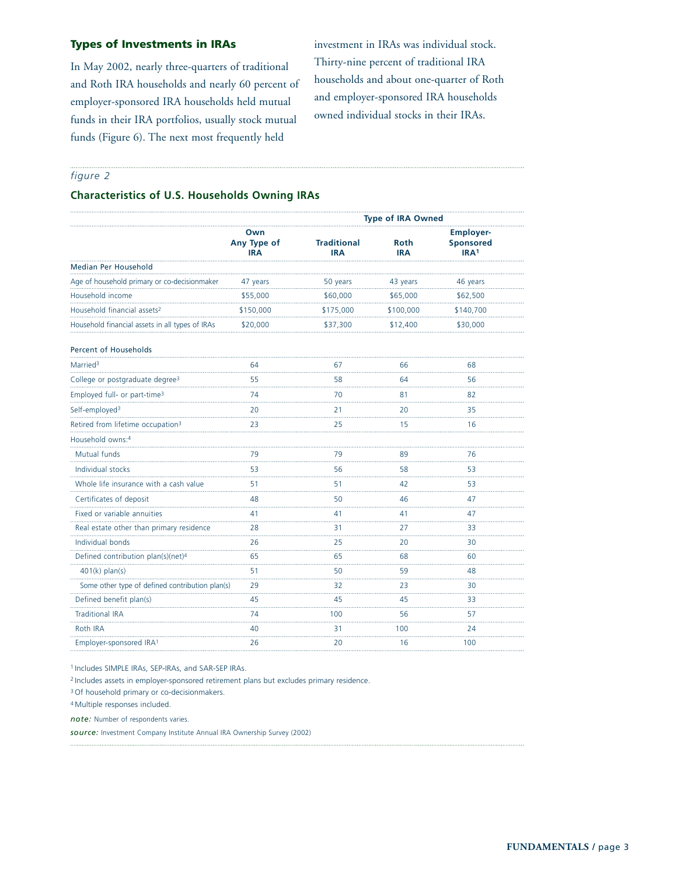## **Types of Investments in IRAs**

In May 2002, nearly three-quarters of traditional and Roth IRA households and nearly 60 percent of employer-sponsored IRA households held mutual funds in their IRA portfolios, usually stock mutual funds (Figure 6). The next most frequently held

investment in IRAs was individual stock. Thirty-nine percent of traditional IRA households and about one-quarter of Roth and employer-sponsored IRA households owned individual stocks in their IRAs.

## *figure 2*

## **Characteristics of U.S. Households Owning IRAs**

|                                                 |                                  | Type of IRA Owned                |                           |                                                          |  |
|-------------------------------------------------|----------------------------------|----------------------------------|---------------------------|----------------------------------------------------------|--|
|                                                 | Own<br>Any Type of<br><b>IRA</b> | <b>Traditional</b><br><b>IRA</b> | <b>Roth</b><br><b>IRA</b> | <b>Employer-</b><br><b>Sponsored</b><br>IRA <sup>1</sup> |  |
| Median Per Household                            |                                  |                                  |                           |                                                          |  |
| Age of household primary or co-decisionmaker    | 47 years                         | 50 years                         | 43 years                  | 46 years                                                 |  |
| Household income                                | \$55,000                         | \$60,000                         | \$65,000                  | \$62,500                                                 |  |
| Household financial assets <sup>2</sup>         | \$150,000                        | \$175,000                        | \$100,000                 | \$140,700                                                |  |
| Household financial assets in all types of IRAs | \$20,000                         | \$37,300                         | \$12,400                  | \$30,000                                                 |  |
| Percent of Households                           |                                  |                                  |                           |                                                          |  |
| Married <sup>3</sup>                            | 64                               | 67                               | 66                        | 68                                                       |  |
| College or postgraduate degree <sup>3</sup>     | 55                               | 58                               | 64                        | 56                                                       |  |
| Employed full- or part-time <sup>3</sup>        | 74                               | 70                               | 81                        | 82                                                       |  |
| Self-employed <sup>3</sup>                      | 20                               | 21                               | 20                        | 35                                                       |  |
| Retired from lifetime occupation <sup>3</sup>   | .<br>23                          | .<br>25                          | 15                        | .<br>16                                                  |  |
| Household owns:4                                |                                  |                                  |                           |                                                          |  |
| Mutual funds                                    | 79<br>.                          | 79                               | 89                        | 76<br>.                                                  |  |
| Individual stocks                               | 53                               | 56                               | 58                        | 53                                                       |  |
| Whole life insurance with a cash value          | 51<br>$\cdots$                   | 51<br>.                          | 42                        | 53                                                       |  |
| Certificates of deposit                         | 48                               | 50                               | 46                        | .<br>47                                                  |  |
| Fixed or variable annuities                     | 41                               | 41                               | 41                        | 47                                                       |  |
| Real estate other than primary residence        | .<br>28                          | aasa<br>31                       | 27                        | .<br>33                                                  |  |
| Individual bonds                                | 26<br>.                          | 25<br>.                          | 20<br>.                   | 30<br>.                                                  |  |
| Defined contribution plan(s)(net) <sup>4</sup>  | 65                               | 65                               | 68                        | 60                                                       |  |
| $401(k)$ plan(s)                                | 51                               | 50<br>in.                        | 59                        | 48                                                       |  |
| Some other type of defined contribution plan(s) | 29<br>.                          | 32<br>.                          | 23<br>.                   | 30<br>.                                                  |  |
| Defined benefit plan(s)                         | 45                               | 45<br>.                          | 45                        | 33<br>.                                                  |  |
| <b>Traditional IRA</b>                          | 74<br>.                          | 100<br>.                         | 56                        | 57<br>.                                                  |  |
| Roth IRA                                        | 40                               | 31                               | 100                       | 24                                                       |  |
| Employer-sponsored IRA <sup>1</sup>             | 26                               | 20                               | 16                        | 100                                                      |  |

<sup>1</sup> Includes SIMPLE IRAs, SEP-IRAs, and SAR-SEP IRAs.

<sup>2</sup> Includes assets in employer-sponsored retirement plans but excludes primary residence.

<sup>3</sup> Of household primary or co-decisionmakers.

<sup>4</sup> Multiple responses included.

*note:* Number of respondents varies.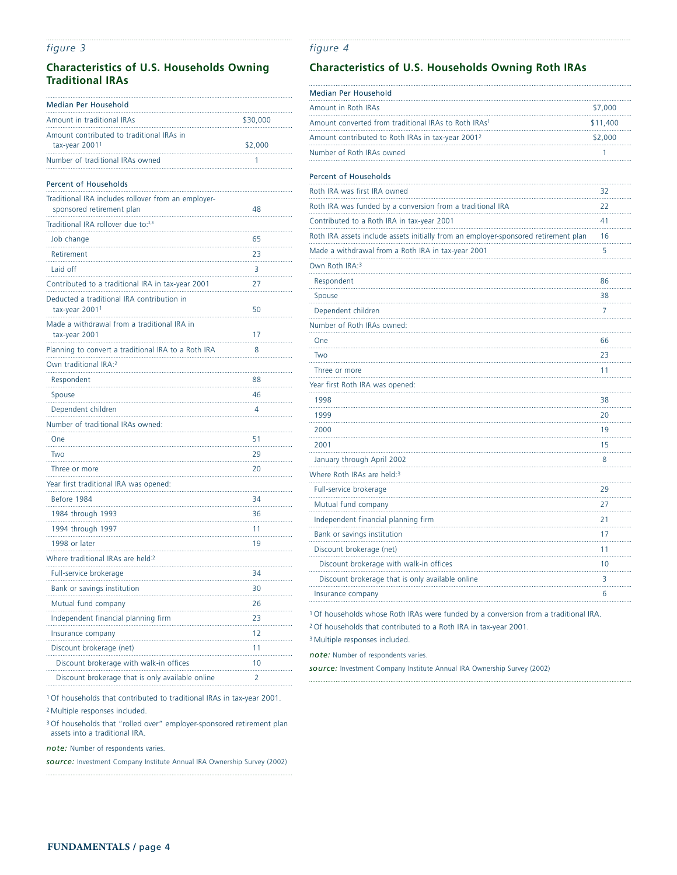## *figure 3*

## **Characteristics of U.S. Households Owning Traditional IRAs**

| Median Per Household                                                             |          |
|----------------------------------------------------------------------------------|----------|
| Amount in traditional IRAs                                                       | \$30,000 |
| Amount contributed to traditional IRAs in                                        |          |
| tax-year 2001 <sup>1</sup>                                                       | \$2,000  |
| Number of traditional IRAs owned                                                 | 1        |
| <b>Percent of Households</b>                                                     |          |
| Traditional IRA includes rollover from an employer-<br>sponsored retirement plan | 48       |
| Traditional IRA rollover due to:2,3                                              |          |
| Job change                                                                       | 65       |
| Retirement                                                                       | 23       |
| Laid off                                                                         | 3        |
| Contributed to a traditional IRA in tax-year 2001                                | 27       |
| Deducted a traditional IRA contribution in<br>tax-year 2001 <sup>1</sup>         | 50       |
| Made a withdrawal from a traditional IRA in<br>tax-year 2001                     | 17       |
| Planning to convert a traditional IRA to a Roth IRA                              | 8        |
| Own traditional IRA: <sup>2</sup>                                                |          |
| Respondent                                                                       | 88       |
| Spouse                                                                           | 46       |
| Dependent children                                                               | 4        |
| Number of traditional IRAs owned:                                                |          |
| One                                                                              | 51       |
| Two                                                                              | 29       |
| Three or more                                                                    | 20       |
| Year first traditional IRA was opened:                                           |          |
| Before 1984                                                                      | 34       |
| 1984 through 1993                                                                | 36       |
| 1994 through 1997                                                                | 11       |
| 1998 or later                                                                    | 19       |
| Where traditional IRAs are held <sup>:2</sup>                                    |          |
| Full-service brokerage                                                           | 34       |
| Bank or savings institution                                                      | 30       |
| Mutual fund company                                                              | 26       |
| Independent financial planning firm                                              | .<br>23  |
| Insurance company                                                                | 12       |
| Discount brokerage (net)                                                         | 11       |
| Discount brokerage with walk-in offices                                          | 10       |
| Discount brokerage that is only available online                                 | 2        |

*figure 4*

## **Characteristics of U.S. Households Owning Roth IRAs**

| Median Per Household                                                                |          |
|-------------------------------------------------------------------------------------|----------|
| Amount in Roth IRAs                                                                 | \$7,000  |
| Amount converted from traditional IRAs to Roth IRAs <sup>1</sup>                    | \$11,400 |
| Amount contributed to Roth IRAs in tax-year 2001 <sup>2</sup>                       | \$2,000  |
| Number of Roth IRAs owned                                                           | 1        |
| Percent of Households                                                               |          |
| Roth IRA was first IRA owned                                                        | 32       |
| Roth IRA was funded by a conversion from a traditional IRA                          | 22       |
| Contributed to a Roth IRA in tax-year 2001                                          | 41       |
| Roth IRA assets include assets initially from an employer-sponsored retirement plan | 16       |
| Made a withdrawal from a Roth IRA in tax-year 2001                                  | 5        |
| Own Roth IRA:3                                                                      |          |
| Respondent                                                                          | 86       |
| Spouse                                                                              | 38       |
| Dependent children                                                                  | 7        |
| Number of Roth IRAs owned:                                                          |          |
| One                                                                                 | 66       |
| Two                                                                                 | 23       |
| Three or more                                                                       | 11       |
| Year first Roth IRA was opened:                                                     |          |
| 1998                                                                                | 38       |
| 1999                                                                                | 20       |
| 2000                                                                                | 19       |
| 2001                                                                                | 15       |
| January through April 2002                                                          | 8        |
| Where Roth IRAs are held:3                                                          |          |
| Full-service brokerage                                                              | 29       |
| Mutual fund company                                                                 | 27       |
| Independent financial planning firm                                                 | 21       |
| Bank or savings institution                                                         | 17       |
| Discount brokerage (net)                                                            | 11       |
| Discount brokerage with walk-in offices                                             | 10       |
| Discount brokerage that is only available online                                    | 3        |
| Insurance company                                                                   | 6        |

<sup>1</sup> Of households whose Roth IRAs were funded by a conversion from a traditional IRA.

<sup>2</sup> Of households that contributed to a Roth IRA in tax-year 2001.

<sup>3</sup> Multiple responses included.

*note:* Number of respondents varies.

*source:* Investment Company Institute Annual IRA Ownership Survey (2002)

<sup>1</sup> Of households that contributed to traditional IRAs in tax-year 2001.

<sup>2</sup> Multiple responses included.

<sup>3</sup> Of households that "rolled over" employer-sponsored retirement plan assets into a traditional IRA.

*note:* Number of respondents varies.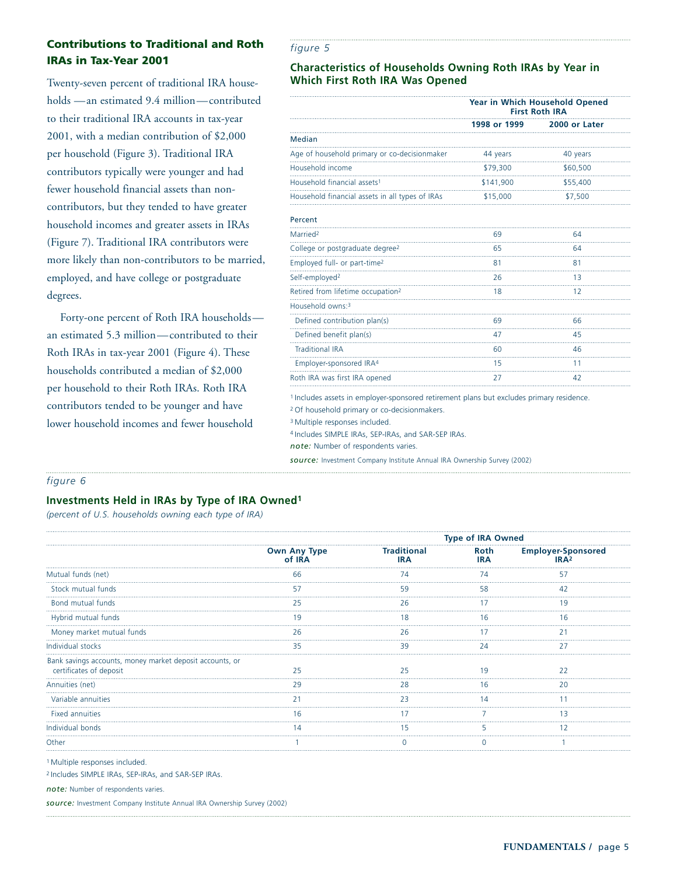# **Contributions to Traditional and Roth IRAs in Tax-Year 2001**

Twenty-seven percent of traditional IRA households —an estimated 9.4 million—contributed to their traditional IRA accounts in tax-year 2001, with a median contribution of \$2,000 per household (Figure 3). Traditional IRA contributors typically were younger and had fewer household financial assets than noncontributors, but they tended to have greater household incomes and greater assets in IRAs (Figure 7). Traditional IRA contributors were more likely than non-contributors to be married, employed, and have college or postgraduate degrees.

Forty-one percent of Roth IRA households an estimated 5.3 million—contributed to their Roth IRAs in tax-year 2001 (Figure 4). These households contributed a median of \$2,000 per household to their Roth IRAs. Roth IRA contributors tended to be younger and have lower household incomes and fewer household

## *figure 5*

## **Characteristics of Households Owning Roth IRAs by Year in Which First Roth IRA Was Opened**

|                                                 | Year in Which Household Opened<br><b>First Roth IRA</b> |               |
|-------------------------------------------------|---------------------------------------------------------|---------------|
|                                                 | 1998 or 1999                                            | 2000 or Later |
| <b>Median</b>                                   |                                                         |               |
| Age of household primary or co-decisionmaker    | 44 years                                                | 40 years      |
| Household income                                | \$79,300                                                | \$60,500      |
| Household financial assets <sup>1</sup>         | \$141,900                                               | \$55,400      |
| Household financial assets in all types of IRAs | \$15,000                                                | \$7,500       |
| Percent                                         |                                                         |               |
| Married <sup>2</sup>                            | 69                                                      | 64            |
| College or postgraduate degree <sup>2</sup>     | 65                                                      | 64            |
| Employed full- or part-time <sup>2</sup>        | 81                                                      | 81            |
| Self-employed <sup>2</sup>                      | 26                                                      | 13            |
| Retired from lifetime occupation <sup>2</sup>   | 18                                                      | 12            |
| Household owns:3                                |                                                         |               |
| Defined contribution plan(s)                    | 69                                                      | 66            |
| Defined benefit plan(s)                         | 47                                                      | 45            |
| <b>Traditional IRA</b>                          | 60                                                      | 46            |
| Employer-sponsored IRA4                         | 15                                                      | 11            |
| Roth IRA was first IRA opened                   | 27                                                      | 42            |

<sup>1</sup> Includes assets in employer-sponsored retirement plans but excludes primary residence.

<sup>2</sup> Of household primary or co-decisionmakers.

<sup>3</sup> Multiple responses included.

<sup>4</sup> Includes SIMPLE IRAs, SEP-IRAs, and SAR-SEP IRAs.

*note:* Number of respondents varies.

*source:* Investment Company Institute Annual IRA Ownership Survey (2002)

## *figure 6*

## **Investments Held in IRAs by Type of IRA Owned1**

*(percent of U.S. households owning each type of IRA)*

|                                                                                     |                               | <b>Type of IRA Owned</b>  |      |                                               |
|-------------------------------------------------------------------------------------|-------------------------------|---------------------------|------|-----------------------------------------------|
|                                                                                     | <b>Own Any Type</b><br>of IRA | Traditional<br><b>IRA</b> | Roth | <b>Employer-Sponsored</b><br>IRA <sup>2</sup> |
| Mutual funds (net)                                                                  | 66                            |                           |      |                                               |
| Stock mutual funds                                                                  |                               | 59                        |      |                                               |
| Bond mutual funds                                                                   |                               | 7h                        |      |                                               |
| Hybrid mutual funds                                                                 |                               | 18                        |      | 16                                            |
| Money market mutual funds                                                           |                               |                           |      |                                               |
| Individual stocks                                                                   | 35                            | 39                        | 24   |                                               |
| Bank savings accounts, money market deposit accounts, or<br>certificates of deposit |                               |                           |      |                                               |
| Annuities (net)                                                                     | 29                            | 28                        |      | 20                                            |
| Variable annuities                                                                  |                               | フコ                        |      |                                               |
| <b>Fixed annuities</b>                                                              |                               |                           |      |                                               |
| Individual bonds                                                                    |                               |                           |      |                                               |
| Other                                                                               |                               |                           |      |                                               |
|                                                                                     |                               |                           |      |                                               |

<sup>1</sup> Multiple responses included.

<sup>2</sup> Includes SIMPLE IRAs, SEP-IRAs, and SAR-SEP IRAs.

*note:* Number of respondents varies.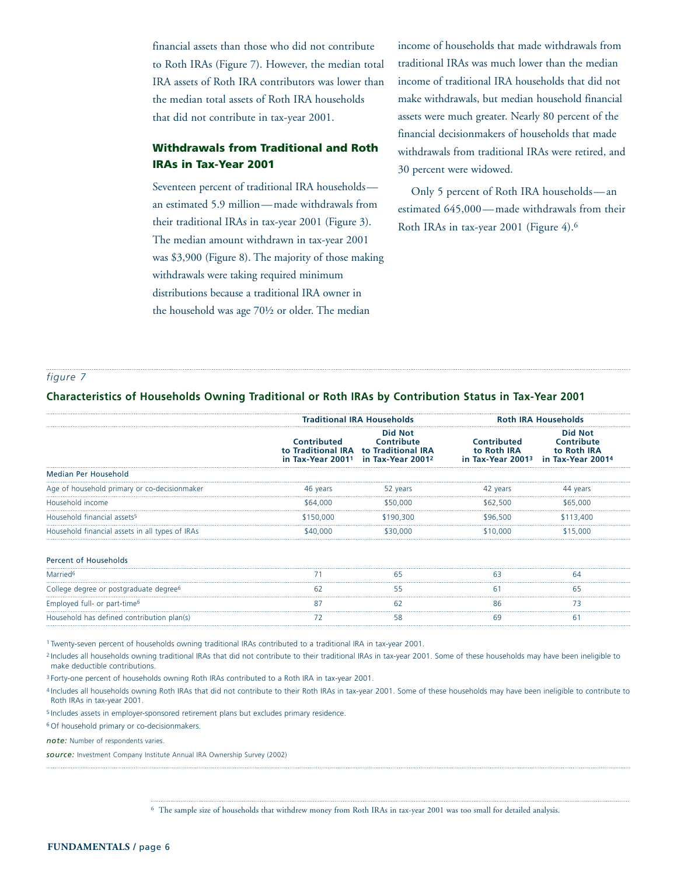financial assets than those who did not contribute to Roth IRAs (Figure 7). However, the median total IRA assets of Roth IRA contributors was lower than the median total assets of Roth IRA households that did not contribute in tax-year 2001.

# **Withdrawals from Traditional and Roth IRAs in Tax-Year 2001**

Seventeen percent of traditional IRA households an estimated 5.9 million—made withdrawals from their traditional IRAs in tax-year 2001 (Figure 3). The median amount withdrawn in tax-year 2001 was \$3,900 (Figure 8). The majority of those making withdrawals were taking required minimum distributions because a traditional IRA owner in the household was age 70½ or older. The median

income of households that made withdrawals from traditional IRAs was much lower than the median income of traditional IRA households that did not make withdrawals, but median household financial assets were much greater. Nearly 80 percent of the financial decisionmakers of households that made withdrawals from traditional IRAs were retired, and 30 percent were widowed.

Only 5 percent of Roth IRA households—an estimated 645,000—made withdrawals from their Roth IRAs in tax-year 2001 (Figure 4).6

#### *figure 7*

#### **Characteristics of Households Owning Traditional or Roth IRAs by Contribution Status in Tax-Year 2001**

|                                                    | <b>Traditional IRA Households</b> |                                                                                                                                                         | <b>Roth IRA Households</b>                                                                                   |                              |
|----------------------------------------------------|-----------------------------------|---------------------------------------------------------------------------------------------------------------------------------------------------------|--------------------------------------------------------------------------------------------------------------|------------------------------|
|                                                    |                                   | <b>Did Not</b><br><b>Contributed Contribute</b><br>to Traditional IRA to Traditional IRA<br>in Tax-Year 2001 <sup>1</sup> in Tax-Year 2001 <sup>2</sup> | <b>Contributed</b><br>to Roth IRA to Roth IRA<br>in Tax-Year 2001 <sup>3</sup> in Tax-Year 2001 <sup>4</sup> | Did Not<br><b>Contribute</b> |
| Median Per Household                               |                                   |                                                                                                                                                         |                                                                                                              |                              |
| Age of household primary or co-decisionmaker       | 46 years                          | 52 years                                                                                                                                                | 42 years                                                                                                     | 44 years                     |
| Household income                                   | \$64,000                          | \$50,000                                                                                                                                                | \$62,500                                                                                                     | \$65,000                     |
| Household financial assets <sup>5</sup>            | \$150,000                         | \$190,300                                                                                                                                               | \$96,500                                                                                                     | \$113,400                    |
| Household financial assets in all types of IRAs    | \$40,000                          | \$30,000                                                                                                                                                | \$10,000                                                                                                     | \$15.000                     |
| <b>Percent of Households</b>                       |                                   |                                                                                                                                                         |                                                                                                              |                              |
| Married <sup>6</sup>                               |                                   | 65                                                                                                                                                      | 63                                                                                                           | 64                           |
| College degree or postgraduate degree <sup>6</sup> | 62                                | 55                                                                                                                                                      | 61                                                                                                           | 65                           |
| Employed full- or part-time <sup>6</sup>           |                                   |                                                                                                                                                         |                                                                                                              |                              |
| Household has defined contribution plan(s)         | 72                                | 58                                                                                                                                                      | 69                                                                                                           | 6                            |

<sup>1</sup> Twenty-seven percent of households owning traditional IRAs contributed to a traditional IRA in tax-year 2001.

<sup>2</sup> Includes all households owning traditional IRAs that did not contribute to their traditional IRAs in tax-year 2001. Some of these households may have been ineligible to make deductible contributions.

<sup>3</sup> Forty-one percent of households owning Roth IRAs contributed to a Roth IRA in tax-year 2001.

<sup>4</sup> Includes all households owning Roth IRAs that did not contribute to their Roth IRAs in tax-year 2001. Some of these households may have been ineligible to contribute to Roth IRAs in tax-year 2001.

<sup>5</sup> Includes assets in employer-sponsored retirement plans but excludes primary residence.

<sup>6</sup> Of household primary or co-decisionmakers.

*note:* Number of respondents varies.

*source:* Investment Company Institute Annual IRA Ownership Survey (2002)

<sup>6</sup> The sample size of households that withdrew money from Roth IRAs in tax-year 2001 was too small for detailed analysis.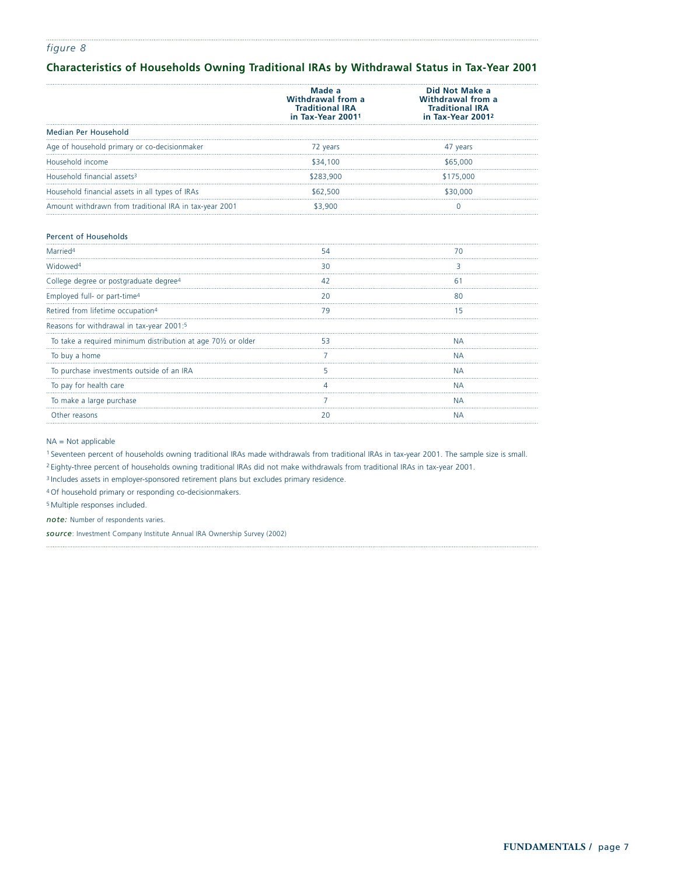## *figure 8*

## **Characteristics of Households Owning Traditional IRAs by Withdrawal Status in Tax-Year 2001**

|                                                                           | Made a<br>Withdrawal from a<br><b>Traditional IRA</b><br>in Tax-Year 20011 | Did Not Make a<br><b>Withdrawal from a</b><br><b>Traditional IRA</b><br>in Tax-Year 2001 <sup>2</sup> |
|---------------------------------------------------------------------------|----------------------------------------------------------------------------|-------------------------------------------------------------------------------------------------------|
| Median Per Household                                                      |                                                                            |                                                                                                       |
| Age of household primary or co-decisionmaker                              | 72 years                                                                   | 47 years                                                                                              |
| Household income                                                          | \$34,100                                                                   | \$65,000                                                                                              |
| Household financial assets <sup>3</sup>                                   | \$283,900                                                                  | \$175,000                                                                                             |
| Household financial assets in all types of IRAs                           | \$62,500                                                                   | \$30,000                                                                                              |
| Amount withdrawn from traditional IRA in tax-year 2001                    | \$3,900                                                                    | 0                                                                                                     |
| <b>Percent of Households</b>                                              |                                                                            |                                                                                                       |
| Married <sup>4</sup>                                                      | 54                                                                         | 70                                                                                                    |
| Widowed <sup>4</sup>                                                      | 30                                                                         | 3                                                                                                     |
| College degree or postgraduate degree <sup>4</sup>                        | 42                                                                         | 61                                                                                                    |
| Employed full- or part-time <sup>4</sup>                                  | 20                                                                         | 80                                                                                                    |
| Retired from lifetime occupation <sup>4</sup>                             | 79                                                                         | 15                                                                                                    |
| Reasons for withdrawal in tax-year 2001:5                                 |                                                                            |                                                                                                       |
| To take a required minimum distribution at age 70 <sup>1/2</sup> or older | 53                                                                         | <b>NA</b>                                                                                             |
| To buy a home                                                             | 7                                                                          | <b>NA</b>                                                                                             |
| To purchase investments outside of an IRA                                 | 5                                                                          | <b>NA</b>                                                                                             |
| To pay for health care                                                    | 4                                                                          | <b>NA</b>                                                                                             |
| To make a large purchase                                                  |                                                                            | <b>NA</b>                                                                                             |
| Other reasons                                                             | 20                                                                         | <b>NA</b>                                                                                             |

NA = Not applicable

<sup>1</sup> Seventeen percent of households owning traditional IRAs made withdrawals from traditional IRAs in tax-year 2001. The sample size is small.

<sup>2</sup> Eighty-three percent of households owning traditional IRAs did not make withdrawals from traditional IRAs in tax-year 2001.

<sup>3</sup> Includes assets in employer-sponsored retirement plans but excludes primary residence.

<sup>4</sup> Of household primary or responding co-decisionmakers.

<sup>5</sup> Multiple responses included.

*note:* Number of respondents varies.